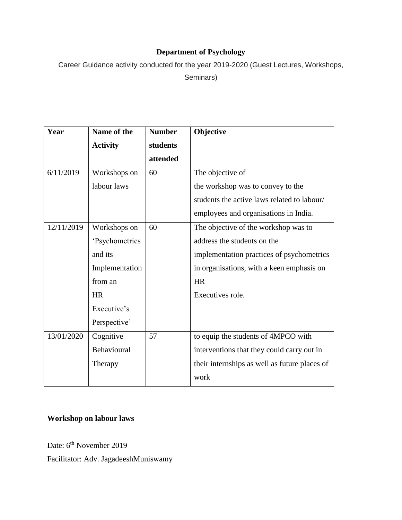## **Department of Psychology**

Career Guidance activity conducted for the year 2019-2020 (Guest Lectures, Workshops,

Seminars)

| Year       | Name of the     | <b>Number</b> | Objective                                     |
|------------|-----------------|---------------|-----------------------------------------------|
|            | <b>Activity</b> | students      |                                               |
|            |                 | attended      |                                               |
| 6/11/2019  | Workshops on    | 60            | The objective of                              |
|            | labour laws     |               | the workshop was to convey to the             |
|            |                 |               | students the active laws related to labour/   |
|            |                 |               | employees and organisations in India.         |
| 12/11/2019 | Workshops on    | 60            | The objective of the workshop was to          |
|            | 'Psychometrics  |               | address the students on the                   |
|            | and its         |               | implementation practices of psychometrics     |
|            | Implementation  |               | in organisations, with a keen emphasis on     |
|            | from an         |               | <b>HR</b>                                     |
|            | <b>HR</b>       |               | Executives role.                              |
|            | Executive's     |               |                                               |
|            | Perspective'    |               |                                               |
| 13/01/2020 | Cognitive       | 57            | to equip the students of 4MPCO with           |
|            | Behavioural     |               | interventions that they could carry out in    |
|            | Therapy         |               | their internships as well as future places of |
|            |                 |               | work                                          |

## **Workshop on labour laws**

Date: 6<sup>th</sup> November 2019

Facilitator: Adv. JagadeeshMuniswamy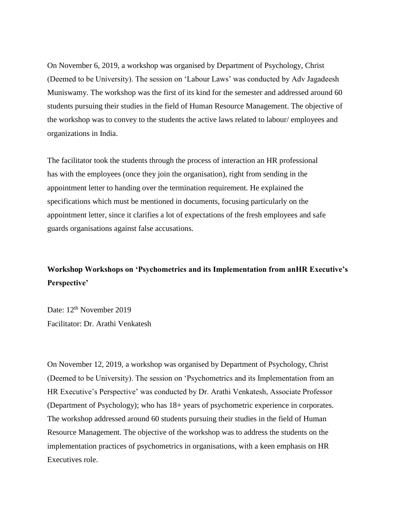On November 6, 2019, a workshop was organised by Department of Psychology, Christ (Deemed to be University). The session on 'Labour Laws' was conducted by Adv Jagadeesh Muniswamy. The workshop was the first of its kind for the semester and addressed around 60 students pursuing their studies in the field of Human Resource Management. The objective of the workshop was to convey to the students the active laws related to labour/ employees and organizations in India.

The facilitator took the students through the process of interaction an HR professional has with the employees (once they join the organisation), right from sending in the appointment letter to handing over the termination requirement. He explained the specifications which must be mentioned in documents, focusing particularly on the appointment letter, since it clarifies a lot of expectations of the fresh employees and safe guards organisations against false accusations.

## **Workshop Workshops on 'Psychometrics and its Implementation from anHR Executive's Perspective'**

Date:  $12<sup>th</sup>$  November 2019 Facilitator: Dr. Arathi Venkatesh

On November 12, 2019, a workshop was organised by Department of Psychology, Christ (Deemed to be University). The session on 'Psychometrics and its Implementation from an HR Executive's Perspective' was conducted by Dr. Arathi Venkatesh, Associate Professor (Department of Psychology); who has 18+ years of psychometric experience in corporates. The workshop addressed around 60 students pursuing their studies in the field of Human Resource Management. The objective of the workshop was to address the students on the implementation practices of psychometrics in organisations, with a keen emphasis on HR Executives role.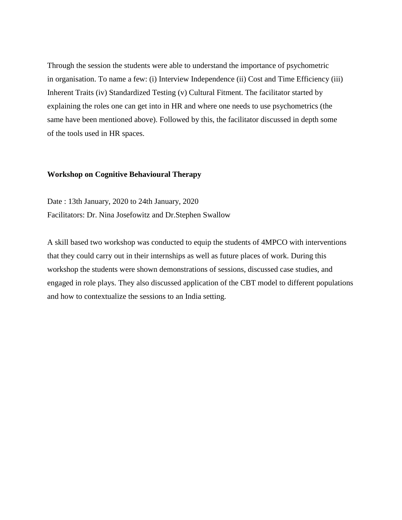Through the session the students were able to understand the importance of psychometric in organisation. To name a few: (i) Interview Independence (ii) Cost and Time Efficiency (iii) Inherent Traits (iv) Standardized Testing (v) Cultural Fitment. The facilitator started by explaining the roles one can get into in HR and where one needs to use psychometrics (the same have been mentioned above). Followed by this, the facilitator discussed in depth some of the tools used in HR spaces.

## **Workshop on Cognitive Behavioural Therapy**

Date : 13th January, 2020 to 24th January, 2020 Facilitators: Dr. Nina Josefowitz and Dr.Stephen Swallow

A skill based two workshop was conducted to equip the students of 4MPCO with interventions that they could carry out in their internships as well as future places of work. During this workshop the students were shown demonstrations of sessions, discussed case studies, and engaged in role plays. They also discussed application of the CBT model to different populations and how to contextualize the sessions to an India setting.